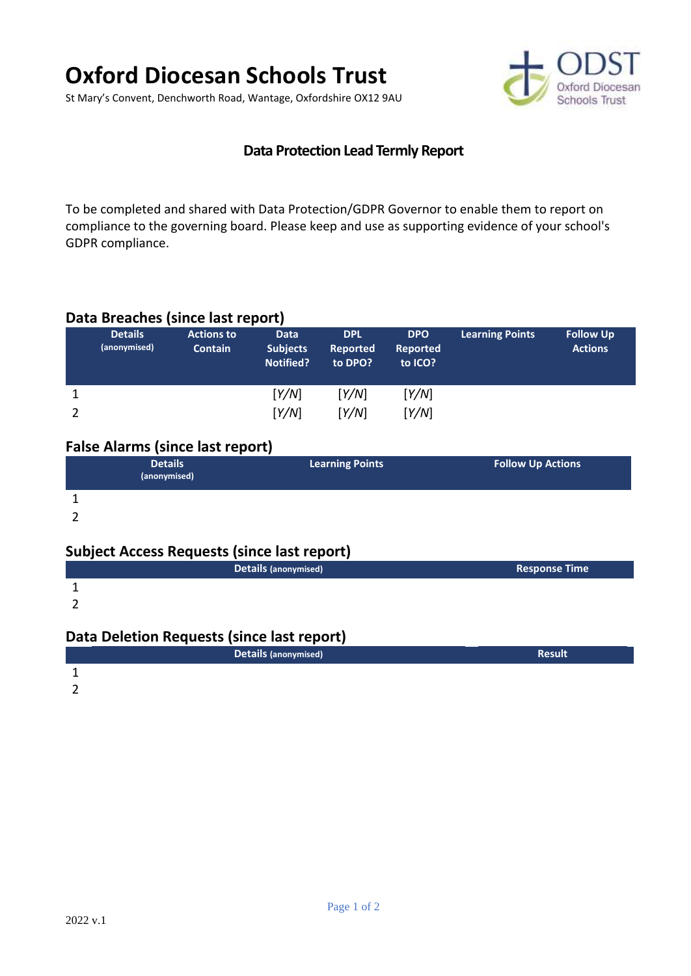# **Oxford Diocesan Schools Trust**

St Mary's Convent, Denchworth Road, Wantage, Oxfordshire OX12 9AU



## **Data Protection Lead Termly Report**

To be completed and shared with Data Protection/GDPR Governor to enable them to report on compliance to the governing board. Please keep and use as supporting evidence of your school's GDPR compliance.

## **Data Breaches (since last report)**

| <b>Details</b><br>(anonymised) | <b>Actions to</b><br><b>Contain</b> | <b>Data</b><br><b>Subjects</b><br><b>Notified?</b> | <b>DPL</b><br><b>Reported</b><br>to DPO? | <b>DPO</b><br><b>Reported</b><br>to ICO? | <b>Learning Points</b> | <b>Follow Up</b><br><b>Actions</b> |
|--------------------------------|-------------------------------------|----------------------------------------------------|------------------------------------------|------------------------------------------|------------------------|------------------------------------|
|                                |                                     | [Y/N]                                              | [Y/N]                                    | Y/N                                      |                        |                                    |
|                                |                                     | Y/N                                                | Y/N                                      | [Y/N]                                    |                        |                                    |

## **False Alarms (since last report)**

|                | <b>Details</b> | <b>Learning Points</b> | <b>Follow Up Actions</b> |  |
|----------------|----------------|------------------------|--------------------------|--|
|                | (anonymised)   |                        |                          |  |
| $\overline{a}$ |                |                        |                          |  |

1

2

# **Subject Access Requests (since last report)**

| Details (anonymised) | <b>Response Time</b> |
|----------------------|----------------------|
|                      |                      |

2

## **Data Deletion Requests (since last report)**

|  | Details (anonymised) | <b>Result</b> |
|--|----------------------|---------------|
|  |                      |               |

2